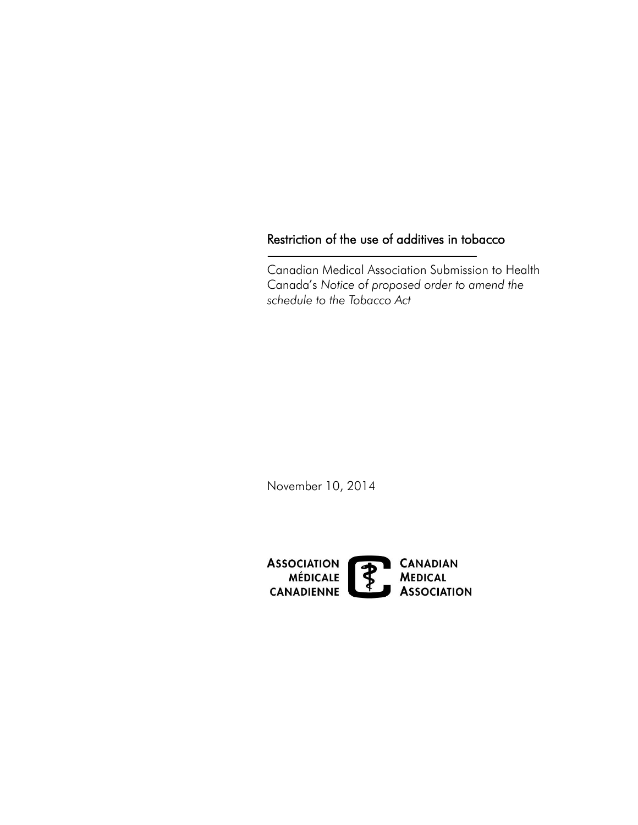# Restriction of the use of additives in tobacco

Canadian Medical Association Submission to Health Canada's *Notice of proposed order to amend the schedule to the Tobacco Act* 

November 10, 2014

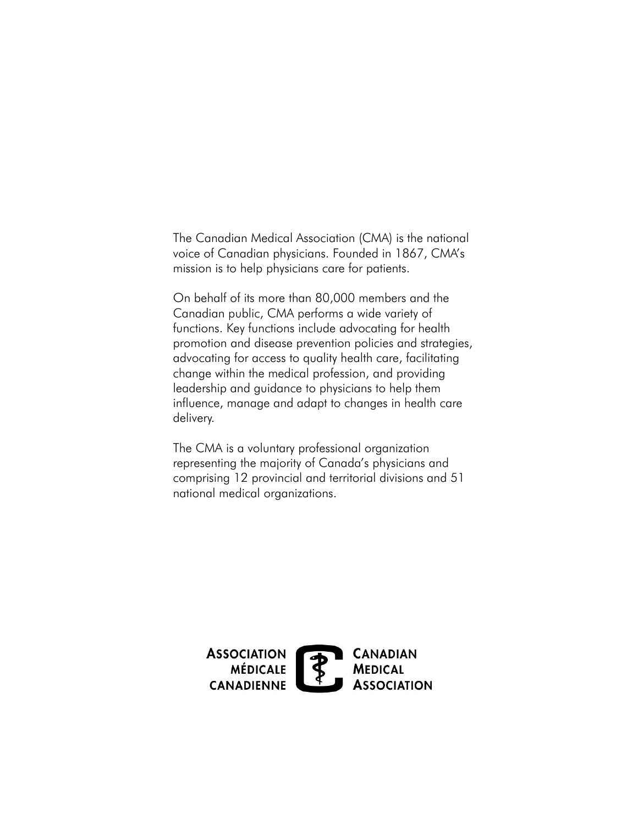The Canadian Medical Association (CMA) is the national voice of Canadian physicians. Founded in 1867, CMA's mission is to help physicians care for patients.

On behalf of its more than 80,000 members and the Canadian public, CMA performs a wide variety of functions. Key functions include advocating for health promotion and disease prevention policies and strategies, advocating for access to quality health care, facilitating change within the medical profession, and providing leadership and guidance to physicians to help them influence, manage and adapt to changes in health care delivery.

The CMA is a voluntary professional organization representing the majority of Canada's physicians and comprising 12 provincial and territorial divisions and 51 national medical organizations.

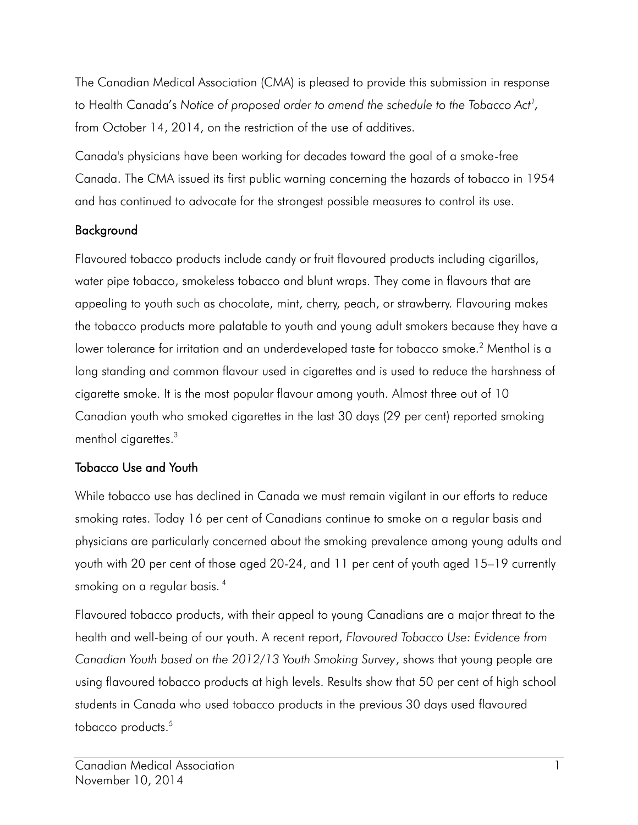to Health Canada's *Notice of proposed order to amend the schedule to the Tobacco Act[1](#page-3-0) ,*  The Canadian Medical Association (CMA) is pleased to provide this submission in response from October 14, 2014, on the restriction of the use of additives.

Canada's physicians have been working for decades toward the goal of a smoke-free Canada. The CMA issued its first public warning concerning the hazards of tobacco in 1954 and has continued to advocate for the strongest possible measures to control its use.

### Background

 cigarette smoke. It is the most popular flavour among youth. Almost three out of 10 menthol cigarettes. $^3$ Flavoured tobacco products include candy or fruit flavoured products including cigarillos, water pipe tobacco, smokeless tobacco and blunt wraps. They come in flavours that are appealing to youth such as chocolate, mint, cherry, peach, or strawberry. Flavouring makes the tobacco products more palatable to youth and young adult smokers because they have a lower tolerance for irritation and an underdeveloped taste for tobacco smoke.<sup>2</sup> Menthol is a long standing and common flavour used in cigarettes and is used to reduce the harshness of Canadian youth who smoked cigarettes in the last 30 days (29 per cent) reported smoking

# Tobacco Use and Youth

 youth with 20 per cent of those aged 20-24, and 11 per cent of youth aged 15–19 currently While tobacco use has declined in Canada we must remain vigilant in our efforts to reduce smoking rates. Today 16 per cent of Canadians continue to smoke on a regular basis and physicians are particularly concerned about the smoking prevalence among young adults and smoking on a regular basis.<sup>4</sup>

tobacco products.<sup>5</sup> Flavoured tobacco products, with their appeal to young Canadians are a major threat to the health and well-being of our youth. A recent report, *Flavoured Tobacco Use: Evidence from Canadian Youth based on the 2012/13 Youth Smoking Survey*, shows that young people are using flavoured tobacco products at high levels. Results show that 50 per cent of high school students in Canada who used tobacco products in the previous 30 days used flavoured